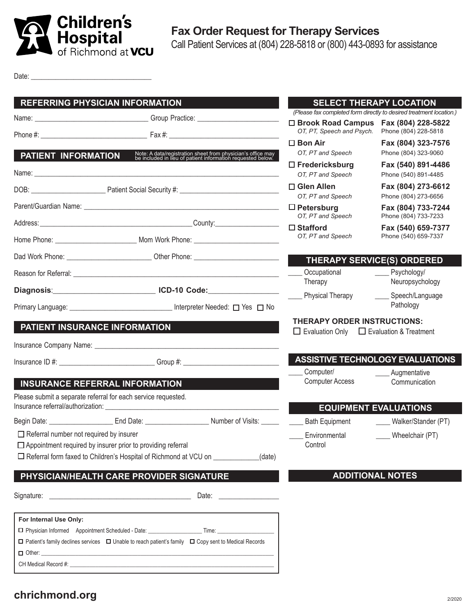

Date: \_\_\_\_\_\_\_\_\_\_\_\_\_\_\_\_\_\_\_\_\_\_\_\_\_\_\_\_\_\_\_\_\_\_

| <b>REFERRING PHYSICIAN INFORMATION</b>                                            |                                                                                                                                                                                                                                      |                                                                                                                                                                                                                                | <b>SELECT THERAPY LOCATION</b><br>(Please fax completed form directly to desired treatment location.) |                                                          |
|-----------------------------------------------------------------------------------|--------------------------------------------------------------------------------------------------------------------------------------------------------------------------------------------------------------------------------------|--------------------------------------------------------------------------------------------------------------------------------------------------------------------------------------------------------------------------------|-------------------------------------------------------------------------------------------------------|----------------------------------------------------------|
|                                                                                   |                                                                                                                                                                                                                                      |                                                                                                                                                                                                                                | $\Box$ Brook Road Campus<br>OT, PT, Speech and Psych.                                                 | Fax (804) 228-5822<br>Phone (804) 228-5818               |
|                                                                                   |                                                                                                                                                                                                                                      |                                                                                                                                                                                                                                | $\square$ Bon Air                                                                                     | Fax (804) 323-7576                                       |
| PATIENT INFORMATION                                                               |                                                                                                                                                                                                                                      | Note: A data/registration sheet from physician's office may be included in lieu of patient information requested below.                                                                                                        | OT, PT and Speech                                                                                     | Phone (804) 323-9060                                     |
|                                                                                   | Name: <u>2000 - 2000 - 2000 - 2000 - 2000 - 2000 - 2000 - 2000 - 2000 - 2000 - 2000 - 2000 - 2000 - 2000 - 2000 - 2000 - 2000 - 2000 - 2000 - 2000 - 2000 - 2000 - 2000 - 2000 - 2000 - 2000 - 2000 - 2000 - 2000 - 2000 - 2000 </u> |                                                                                                                                                                                                                                | $\Box$ Fredericksburg<br>OT, PT and Speech                                                            | Fax (540) 891-4486<br>Phone (540) 891-4485               |
|                                                                                   |                                                                                                                                                                                                                                      |                                                                                                                                                                                                                                | □ Glen Allen<br>OT, PT and Speech                                                                     | Fax (804) 273-6612<br>Phone (804) 273-6656               |
|                                                                                   |                                                                                                                                                                                                                                      |                                                                                                                                                                                                                                | $\Box$ Petersburg                                                                                     | Fax (804) 733-7244                                       |
|                                                                                   |                                                                                                                                                                                                                                      |                                                                                                                                                                                                                                | OT, PT and Speech<br>$\Box$ Stafford                                                                  | Phone (804) 733-7233                                     |
|                                                                                   |                                                                                                                                                                                                                                      |                                                                                                                                                                                                                                | OT, PT and Speech                                                                                     | Fax (540) 659-7377<br>Phone (540) 659-7337               |
| Dad Work Phone: _________________________________Other Phone: ___________________ |                                                                                                                                                                                                                                      |                                                                                                                                                                                                                                | <b>THERAPY SERVICE(S) ORDERED</b>                                                                     |                                                          |
|                                                                                   |                                                                                                                                                                                                                                      |                                                                                                                                                                                                                                | Occupational<br>Therapy                                                                               | Psychology/<br>$\frac{1}{2}$<br>Neuropsychology          |
|                                                                                   | Primary Language: _______________________________ Interpreter Needed: □ Yes □ No                                                                                                                                                     |                                                                                                                                                                                                                                | <b>Physical Therapy</b>                                                                               | Speech/Language<br>$\overline{\phantom{a}}$<br>Pathology |
|                                                                                   |                                                                                                                                                                                                                                      |                                                                                                                                                                                                                                | <b>THERAPY ORDER INSTRUCTIONS:</b>                                                                    |                                                          |
| <b>PATIENT INSURANCE INFORMATION</b>                                              |                                                                                                                                                                                                                                      |                                                                                                                                                                                                                                | $\Box$ Evaluation Only $\Box$ Evaluation & Treatment                                                  |                                                          |
|                                                                                   |                                                                                                                                                                                                                                      |                                                                                                                                                                                                                                |                                                                                                       |                                                          |
|                                                                                   |                                                                                                                                                                                                                                      |                                                                                                                                                                                                                                | <b>ASSISTIVE TECHNOLOGY EVALUATIONS</b>                                                               |                                                          |
|                                                                                   |                                                                                                                                                                                                                                      |                                                                                                                                                                                                                                | Computer/<br><b>Computer Access</b>                                                                   | Augmentative<br>Communication                            |
|                                                                                   | <b>INSURANCE REFERRAL INFORMATION</b><br>Please submit a separate referral for each service requested.                                                                                                                               |                                                                                                                                                                                                                                |                                                                                                       |                                                          |
|                                                                                   |                                                                                                                                                                                                                                      |                                                                                                                                                                                                                                | <b>EQUIPMENT EVALUATIONS</b>                                                                          |                                                          |
|                                                                                   | Begin Date: <u>_______________________</u> End Date: __________________________Number of Visits: _______ ______                                                                                                                      |                                                                                                                                                                                                                                | <b>Bath Equipment</b>                                                                                 | ____ Walker/Stander (PT)                                 |
| $\Box$ Referral number not required by insurer                                    |                                                                                                                                                                                                                                      |                                                                                                                                                                                                                                | Environmental                                                                                         | Wheelchair (PT)                                          |
|                                                                                   | $\Box$ Appointment required by insurer prior to providing referral<br>$\Box$ Referral form faxed to Children's Hospital of Richmond at VCU on                                                                                        | (date)                                                                                                                                                                                                                         | Control                                                                                               |                                                          |
|                                                                                   |                                                                                                                                                                                                                                      |                                                                                                                                                                                                                                |                                                                                                       |                                                          |
|                                                                                   | PHYSICIAN/HEALTH CARE PROVIDER SIGNATURE                                                                                                                                                                                             |                                                                                                                                                                                                                                | <b>ADDITIONAL NOTES</b>                                                                               |                                                          |
|                                                                                   |                                                                                                                                                                                                                                      | Date: the contract of the contract of the contract of the contract of the contract of the contract of the contract of the contract of the contract of the contract of the contract of the contract of the contract of the cont |                                                                                                       |                                                          |
| For Internal Use Only:                                                            |                                                                                                                                                                                                                                      |                                                                                                                                                                                                                                |                                                                                                       |                                                          |
|                                                                                   |                                                                                                                                                                                                                                      |                                                                                                                                                                                                                                |                                                                                                       |                                                          |
|                                                                                   | $\Box$ Patient's family declines services $\Box$ Unable to reach patient's family $\Box$ Copy sent to Medical Records                                                                                                                |                                                                                                                                                                                                                                |                                                                                                       |                                                          |
|                                                                                   |                                                                                                                                                                                                                                      |                                                                                                                                                                                                                                |                                                                                                       |                                                          |

## **chrichmond.org**